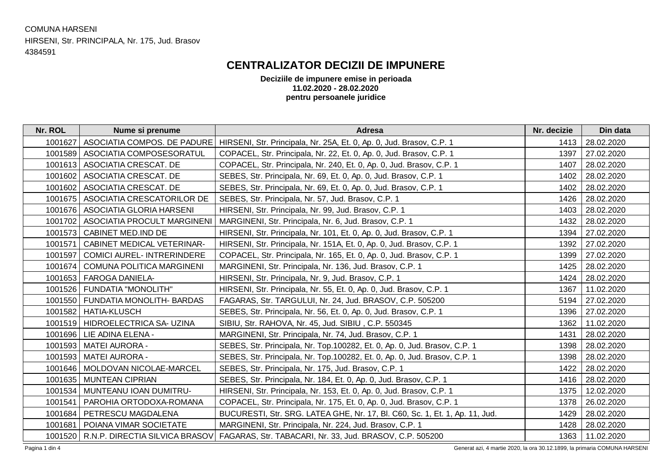## COMUNA HARSENI HIRSENI, Str. PRINCIPALA, Nr. 175, Jud. Brasov 4384591

## **CENTRALIZATOR DECIZII DE IMPUNERE**

**Deciziile de impunere emise in perioada 11.02.2020 - 28.02.2020 pentru persoanele juridice**

| Nr. ROL                                                                                    | Nume si prenume                     | <b>Adresa</b>                                                               | Nr. decizie | Din data   |  |
|--------------------------------------------------------------------------------------------|-------------------------------------|-----------------------------------------------------------------------------|-------------|------------|--|
| 1001627                                                                                    | ASOCIATIA COMPOS. DE PADURE         | HIRSENI, Str. Principala, Nr. 25A, Et. 0, Ap. 0, Jud. Brasov, C.P. 1        | 1413        | 28.02.2020 |  |
| 1001589                                                                                    | ASOCIATIA COMPOSESORATUL            | COPACEL, Str. Principala, Nr. 22, Et. 0, Ap. 0, Jud. Brasov, C.P. 1         | 1397        | 27.02.2020 |  |
| 1001613                                                                                    | ASOCIATIA CRESCAT. DE               | COPACEL, Str. Principala, Nr. 240, Et. 0, Ap. 0, Jud. Brasov, C.P. 1        | 1407        | 28.02.2020 |  |
| 1001602                                                                                    | ASOCIATIA CRESCAT. DE               | SEBES, Str. Principala, Nr. 69, Et. 0, Ap. 0, Jud. Brasov, C.P. 1           | 1402        | 28.02.2020 |  |
| 1001602                                                                                    | ASOCIATIA CRESCAT. DE               | SEBES, Str. Principala, Nr. 69, Et. 0, Ap. 0, Jud. Brasov, C.P. 1           | 1402        | 28.02.2020 |  |
| 1001675                                                                                    | ASOCIATIA CRESCATORILOR DE          | SEBES, Str. Principala, Nr. 57, Jud. Brasov, C.P. 1                         | 1426        | 28.02.2020 |  |
| 1001676                                                                                    | ASOCIATIA GLORIA HARSENI            | HIRSENI, Str. Principala, Nr. 99, Jud. Brasov, C.P. 1                       | 1403        | 28.02.2020 |  |
| 1001702                                                                                    | ASOCIATIA PROCULT MARGINENI         | MARGINENI, Str. Principala, Nr. 6, Jud. Brasov, C.P. 1                      | 1432        | 28.02.2020 |  |
| 1001573                                                                                    | <b>CABINET MED.IND DE</b>           | HIRSENI, Str. Principala, Nr. 101, Et. 0, Ap. 0, Jud. Brasov, C.P. 1        | 1394        | 27.02.2020 |  |
| 1001571                                                                                    | <b>CABINET MEDICAL VETERINAR-</b>   | HIRSENI, Str. Principala, Nr. 151A, Et. 0, Ap. 0, Jud. Brasov, C.P. 1       | 1392        | 27.02.2020 |  |
| 1001597                                                                                    | <b>COMICI AUREL- INTRERINDERE</b>   | COPACEL, Str. Principala, Nr. 165, Et. 0, Ap. 0, Jud. Brasov, C.P. 1        | 1399        | 27.02.2020 |  |
| 1001674                                                                                    | <b>COMUNA POLITICA MARGINENI</b>    | MARGINENI, Str. Principala, Nr. 136, Jud. Brasov, C.P. 1                    | 1425        | 28.02.2020 |  |
| 1001653                                                                                    | <b>FAROGA DANIELA-</b>              | HIRSENI, Str. Principala, Nr. 9, Jud. Brasov, C.P. 1                        | 1424        | 28.02.2020 |  |
| 1001526                                                                                    | FUNDATIA "MONOLITH"                 | HIRSENI, Str. Principala, Nr. 55, Et. 0, Ap. 0, Jud. Brasov, C.P. 1         | 1367        | 11.02.2020 |  |
|                                                                                            | 1001550   FUNDATIA MONOLITH- BARDAS | FAGARAS, Str. TARGULUI, Nr. 24, Jud. BRASOV, C.P. 505200                    | 5194        | 27.02.2020 |  |
| 1001582                                                                                    | <b>HATIA-KLUSCH</b>                 | SEBES, Str. Principala, Nr. 56, Et. 0, Ap. 0, Jud. Brasov, C.P. 1           | 1396        | 27.02.2020 |  |
|                                                                                            | 1001519   HIDROELECTRICA SA- UZINA  | SIBIU, Str. RAHOVA, Nr. 45, Jud. SIBIU, C.P. 550345                         | 1362        | 11.02.2020 |  |
| 1001696                                                                                    | LIE ADINA ELENA -                   | MARGINENI, Str. Principala, Nr. 74, Jud. Brasov, C.P. 1                     | 1431        | 28.02.2020 |  |
| 1001593                                                                                    | <b>MATEI AURORA -</b>               | SEBES, Str. Principala, Nr. Top.100282, Et. 0, Ap. 0, Jud. Brasov, C.P. 1   | 1398        | 28.02.2020 |  |
| 1001593                                                                                    | <b>MATEI AURORA -</b>               | SEBES, Str. Principala, Nr. Top.100282, Et. 0, Ap. 0, Jud. Brasov, C.P. 1   | 1398        | 28.02.2020 |  |
| 1001646                                                                                    | MOLDOVAN NICOLAE-MARCEL             | SEBES, Str. Principala, Nr. 175, Jud. Brasov, C.P. 1                        | 1422        | 28.02.2020 |  |
| 1001635                                                                                    | <b>MUNTEAN CIPRIAN</b>              | SEBES, Str. Principala, Nr. 184, Et. 0, Ap. 0, Jud. Brasov, C.P. 1          | 1416        | 28.02.2020 |  |
| 1001534                                                                                    | MUNTEANU IOAN DUMITRU-              | HIRSENI, Str. Principala, Nr. 153, Et. 0, Ap. 0, Jud. Brasov, C.P. 1        | 1375        | 12.02.2020 |  |
| 1001541                                                                                    | PAROHIA ORTODOXA-ROMANA             | COPACEL, Str. Principala, Nr. 175, Et. 0, Ap. 0, Jud. Brasov, C.P. 1        | 1378        | 26.02.2020 |  |
| 1001684                                                                                    | PETRESCU MAGDALENA                  | BUCURESTI, Str. SRG. LATEA GHE, Nr. 17, BI. C60, Sc. 1, Et. 1, Ap. 11, Jud. | 1429        | 28.02.2020 |  |
| 1001681                                                                                    | POIANA VIMAR SOCIETATE              | MARGINENI, Str. Principala, Nr. 224, Jud. Brasov, C.P. 1                    | 1428        | 28.02.2020 |  |
| 1001520                                                                                    | R.N.P. DIRECTIA SILVICA BRASOV      | FAGARAS, Str. TABACARI, Nr. 33, Jud. BRASOV, C.P. 505200                    | 1363        | 11.02.2020 |  |
| Generat azi 4 martie 2020, la ora 30.12.1899, la primaria COMUNA HARSENI<br>Pagina 1 din 4 |                                     |                                                                             |             |            |  |

Pagina 1 din 4 Generat azi, 4 martie 2020, la ora 30.12.1899, la primaria COMUNA HARSENI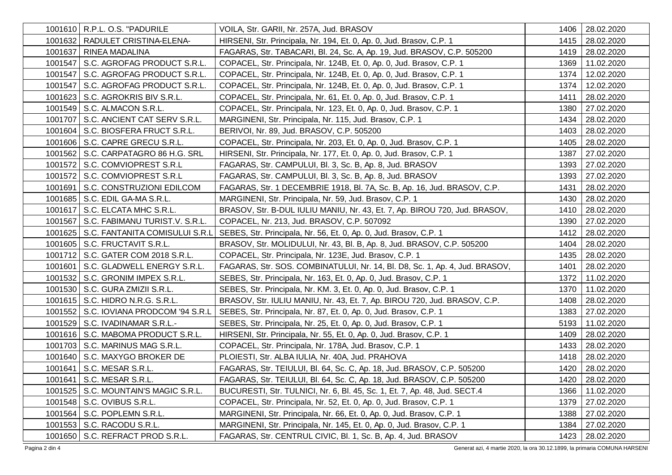| 1001610   R.P.L. O.S. "PADURILE          | VOILA, Str. GARII, Nr. 257A, Jud. BRASOV                                    | 1406 | 28.02.2020      |
|------------------------------------------|-----------------------------------------------------------------------------|------|-----------------|
| 1001632   RADULET CRISTINA-ELENA-        | HIRSENI, Str. Principala, Nr. 194, Et. 0, Ap. 0, Jud. Brasov, C.P. 1        | 1415 | 28.02.2020      |
| 1001637   RINEA MADALINA                 | FAGARAS, Str. TABACARI, Bl. 24, Sc. A, Ap. 19, Jud. BRASOV, C.P. 505200     | 1419 | 28.02.2020      |
| 1001547   S.C. AGROFAG PRODUCT S.R.L.    | COPACEL, Str. Principala, Nr. 124B, Et. 0, Ap. 0, Jud. Brasov, C.P. 1       | 1369 | 11.02.2020      |
| 1001547   S.C. AGROFAG PRODUCT S.R.L.    | COPACEL, Str. Principala, Nr. 124B, Et. 0, Ap. 0, Jud. Brasov, C.P. 1       | 1374 | 12.02.2020      |
| 1001547   S.C. AGROFAG PRODUCT S.R.L.    | COPACEL, Str. Principala, Nr. 124B, Et. 0, Ap. 0, Jud. Brasov, C.P. 1       | 1374 | 12.02.2020      |
| 1001623   S.C. AGROKRIS BIV S.R.L.       | COPACEL, Str. Principala, Nr. 61, Et. 0, Ap. 0, Jud. Brasov, C.P. 1         | 1411 | 28.02.2020      |
| 1001549   S.C. ALMACON S.R.L.            | COPACEL, Str. Principala, Nr. 123, Et. 0, Ap. 0, Jud. Brasov, C.P. 1        | 1380 | 27.02.2020      |
| 1001707   S.C. ANCIENT CAT SERV S.R.L.   | MARGINENI, Str. Principala, Nr. 115, Jud. Brasov, C.P. 1                    | 1434 | 28.02.2020      |
| 1001604 S.C. BIOSFERA FRUCT S.R.L.       | BERIVOI, Nr. 89, Jud. BRASOV, C.P. 505200                                   | 1403 | 28.02.2020      |
| 1001606   S.C. CAPRE GRECU S.R.L.        | COPACEL, Str. Principala, Nr. 203, Et. 0, Ap. 0, Jud. Brasov, C.P. 1        | 1405 | 28.02.2020      |
| 1001562   S.C. CARPATAGRO 86 H.G. SRL    | HIRSENI, Str. Principala, Nr. 177, Et. 0, Ap. 0, Jud. Brasov, C.P. 1        | 1387 | 27.02.2020      |
| 1001572 S.C. COMVIOPREST S.R.L           | FAGARAS, Str. CAMPULUI, Bl. 3, Sc. B, Ap. 8, Jud. BRASOV                    | 1393 | 27.02.2020      |
| 1001572   S.C. COMVIOPREST S.R.L         | FAGARAS, Str. CAMPULUI, Bl. 3, Sc. B, Ap. 8, Jud. BRASOV                    | 1393 | 27.02.2020      |
| 1001691   S.C. CONSTRUZIONI EDILCOM      | FAGARAS, Str. 1 DECEMBRIE 1918, Bl. 7A, Sc. B, Ap. 16, Jud. BRASOV, C.P.    | 1431 | 28.02.2020      |
| 1001685   S.C. EDIL GA-MA S.R.L.         | MARGINENI, Str. Principala, Nr. 59, Jud. Brasov, C.P. 1                     | 1430 | 28.02.2020      |
| 1001617   S.C. ELCATA MHC S.R.L.         | BRASOV, Str. B-DUL IULIU MANIU, Nr. 43, Et. 7, Ap. BIROU 720, Jud. BRASOV,  | 1410 | 28.02.2020      |
| 1001567   S.C. FABIMANU TURIST.V. S.R.L. | COPACEL, Nr. 213, Jud. BRASOV, C.P. 507092                                  | 1390 | 27.02.2020      |
| 1001625   S.C. FANTANITA COMISULUI S.R.L | SEBES, Str. Principala, Nr. 56, Et. 0, Ap. 0, Jud. Brasov, C.P. 1           | 1412 | 28.02.2020      |
| 1001605   S.C. FRUCTAVIT S.R.L.          | BRASOV, Str. MOLIDULUI, Nr. 43, Bl. B, Ap. 8, Jud. BRASOV, C.P. 505200      | 1404 | 28.02.2020      |
| 1001712   S.C. GATER COM 2018 S.R.L.     | COPACEL, Str. Principala, Nr. 123E, Jud. Brasov, C.P. 1                     | 1435 | 28.02.2020      |
| 1001601   S.C. GLADWELL ENERGY S.R.L.    | FAGARAS, Str. SOS. COMBINATULUI, Nr. 14, BI. D8, Sc. 1, Ap. 4, Jud. BRASOV, | 1401 | 28.02.2020      |
| 1001532   S.C. GRONIM IMPEX S.R.L.       | SEBES, Str. Principala, Nr. 163, Et. 0, Ap. 0, Jud. Brasov, C.P. 1          | 1372 | 11.02.2020      |
| 1001530   S.C. GURA ZMIZII S.R.L.        | SEBES, Str. Principala, Nr. KM. 3, Et. 0, Ap. 0, Jud. Brasov, C.P. 1        | 1370 | 11.02.2020      |
| 1001615   S.C. HIDRO N.R.G. S.R.L.       | BRASOV, Str. IULIU MANIU, Nr. 43, Et. 7, Ap. BIROU 720, Jud. BRASOV, C.P.   | 1408 | 28.02.2020      |
| 1001552   S.C. IOVIANA PRODCOM '94 S.R.L | SEBES, Str. Principala, Nr. 87, Et. 0, Ap. 0, Jud. Brasov, C.P. 1           | 1383 | 27.02.2020      |
| 1001529   S.C. IVADINAMAR S.R.L.-        | SEBES, Str. Principala, Nr. 25, Et. 0, Ap. 0, Jud. Brasov, C.P. 1           | 5193 | 11.02.2020      |
| 1001616   S.C. MABOMA PRODUCT S.R.L.     | HIRSENI, Str. Principala, Nr. 55, Et. 0, Ap. 0, Jud. Brasov, C.P. 1         | 1409 | 28.02.2020      |
| 1001703   S.C. MARINUS MAG S.R.L.        | COPACEL, Str. Principala, Nr. 178A, Jud. Brasov, C.P. 1                     | 1433 | 28.02.2020      |
| 1001640   S.C. MAXYGO BROKER DE          | PLOIESTI, Str. ALBA IULIA, Nr. 40A, Jud. PRAHOVA                            | 1418 | 28.02.2020      |
| 1001641   S.C. MESAR S.R.L.              | FAGARAS, Str. TEIULUI, Bl. 64, Sc. C, Ap. 18, Jud. BRASOV, C.P. 505200      | 1420 | 28.02.2020      |
| 1001641   S.C. MESAR S.R.L.              | FAGARAS, Str. TEIULUI, Bl. 64, Sc. C, Ap. 18, Jud. BRASOV, C.P. 505200      |      | 1420 28.02.2020 |
| 1001525   S.C. MOUNTAIN'S MAGIC S.R.L.   | BUCURESTI, Str. TULNICI, Nr. 6, Bl. 45, Sc. 1, Et. 7, Ap. 48, Jud. SECT.4   | 1366 | 11.02.2020      |
| 1001548   S.C. OVIBUS S.R.L.             | COPACEL, Str. Principala, Nr. 52, Et. 0, Ap. 0, Jud. Brasov, C.P. 1         | 1379 | 27.02.2020      |
| 1001564   S.C. POPLEMN S.R.L.            | MARGINENI, Str. Principala, Nr. 66, Et. 0, Ap. 0, Jud. Brasov, C.P. 1       | 1388 | 27.02.2020      |
| 1001553   S.C. RACODU S.R.L.             | MARGINENI, Str. Principala, Nr. 145, Et. 0, Ap. 0, Jud. Brasov, C.P. 1      | 1384 | 27.02.2020      |
| 1001650   S.C. REFRACT PROD S.R.L.       | FAGARAS, Str. CENTRUL CIVIC, Bl. 1, Sc. B, Ap. 4, Jud. BRASOV               | 1423 | 28.02.2020      |

Pagina 2 din 4 Generat azi, 4 martie 2020, la ora 30.12.1899, la primaria COMUNA HARSENI